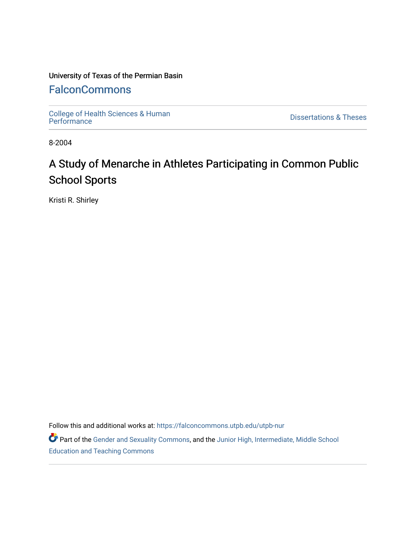## University of Texas of the Permian Basin

## **[FalconCommons](https://falconcommons.utpb.edu/)**

College of Health Sciences & Human<br>Performance

**Dissertations & Theses** 

8-2004

# A Study of Menarche in Athletes Participating in Common Public School Sports

Kristi R. Shirley

Follow this and additional works at: [https://falconcommons.utpb.edu/utpb-nur](https://falconcommons.utpb.edu/utpb-nur?utm_source=falconcommons.utpb.edu%2Futpb-nur%2F8&utm_medium=PDF&utm_campaign=PDFCoverPages) 

Part of the [Gender and Sexuality Commons](http://network.bepress.com/hgg/discipline/420?utm_source=falconcommons.utpb.edu%2Futpb-nur%2F8&utm_medium=PDF&utm_campaign=PDFCoverPages), and the Junior High, Intermediate, Middle School [Education and Teaching Commons](http://network.bepress.com/hgg/discipline/807?utm_source=falconcommons.utpb.edu%2Futpb-nur%2F8&utm_medium=PDF&utm_campaign=PDFCoverPages)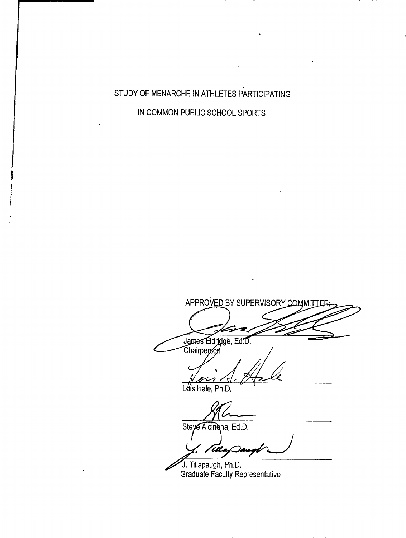STUDY OF MENARCHE IN ATHLETES PARTICIPATING

IN COMMON PUBLIC SCHOOL SPORTS

APPROVED BY SUPERVISORY COMMITTE James Eldridge, Ed.D.<br>Chairperson

Lois Hale, Ph.D.

Steye Aicinena, Ed.D.

'UL

J. Tillapaugh, Ph.D. Graduate Faculty Representative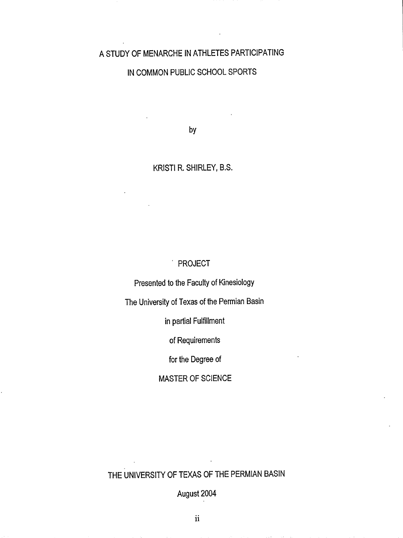### A STUDY OF MENARCHE IN ATHLETES PARTICIPATING

## IN COMMON PUBLIC SCHOOL SPORTS

by

#### KRISTI R. SHIRLEY, B.S.

#### PROJECT

Presented to the Faculty of Kinesiology

The University of Texas of the Permian Basin

in partial Fulfillment

of Requirements

for the Degree of

## MASTER OF SCIENCE

## THE UNIVERSITY OF TEXAS OF THE PERMIAN BASIN

August 2004